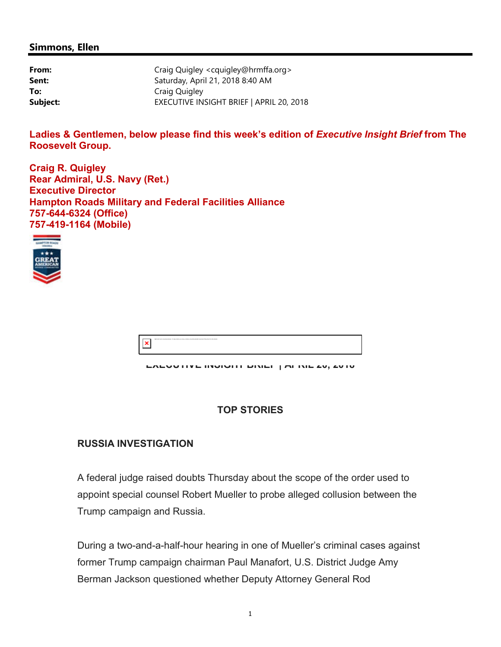#### **Simmons, Ellen**

| From:    | Craig Quigley <cquigley@hrmffa.org></cquigley@hrmffa.org> |
|----------|-----------------------------------------------------------|
| Sent:    | Saturday, April 21, 2018 8:40 AM                          |
| To:      | Craig Quigley                                             |
| Subject: | EXECUTIVE INSIGHT BRIEF   APRIL 20, 2018                  |

Ladies & Gentlemen, below please find this week's edition of *Executive Insight Brief* from The **Roosevelt Group.**

**Craig R. Quigley Rear Admiral, U.S. Navy (Ret.) Executive Director Hampton Roads Military and Federal Facilities Alliance 757-644-6324 (Office) 757-419-1164 (Mobile)**



| enter your schary. Outlets encorted automate describation this documents that believes. |
|-----------------------------------------------------------------------------------------|
|-----------------------------------------------------------------------------------------|

**EXECUTIVE INSIGHT BRIEF | APRIL 20, 2018**

### **TOP STORIES**

## **RUSSIA INVESTIGATION**

A federal judge raised doubts Thursday about the scope of the order used to appoint special counsel Robert Mueller to probe alleged collusion between the Trump campaign and Russia.

During a two-and-a-half-hour hearing in one of Mueller's criminal cases against former Trump campaign chairman Paul Manafort, U.S. District Judge Amy Berman Jackson questioned whether Deputy Attorney General Rod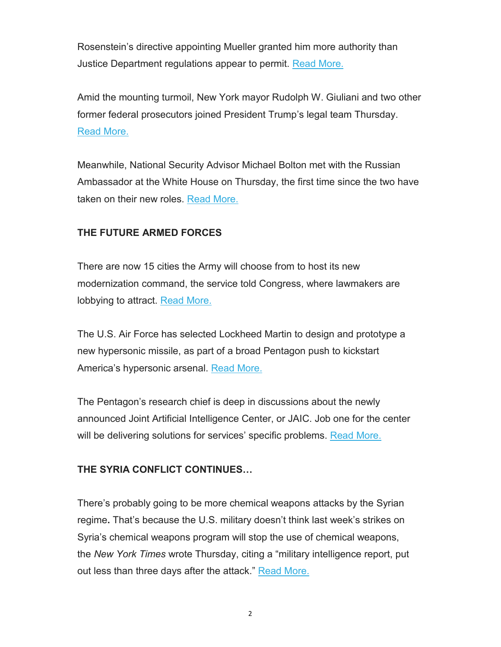Rosenstein's directive appointing Mueller granted him more authority than Justice Department regulations appear to permit. Read More.

Amid the mounting turmoil, New York mayor Rudolph W. Giuliani and two other former federal prosecutors joined President Trump's legal team Thursday. Read More.

Meanwhile, National Security Advisor Michael Bolton met with the Russian Ambassador at the White House on Thursday, the first time since the two have taken on their new roles. Read More.

## **THE FUTURE ARMED FORCES**

There are now 15 cities the Army will choose from to host its new modernization command, the service told Congress, where lawmakers are lobbying to attract. Read More.

The U.S. Air Force has selected Lockheed Martin to design and prototype a new hypersonic missile, as part of a broad Pentagon push to kickstart America's hypersonic arsenal. Read More.

The Pentagon's research chief is deep in discussions about the newly announced Joint Artificial Intelligence Center, or JAIC. Job one for the center will be delivering solutions for services' specific problems. Read More.

### **THE SYRIA CONFLICT CONTINUES…**

There's probably going to be more chemical weapons attacks by the Syrian regime**.** That's because the U.S. military doesn't think last week's strikes on Syria's chemical weapons program will stop the use of chemical weapons, the *New York Times* wrote Thursday, citing a "military intelligence report, put out less than three days after the attack." Read More.

2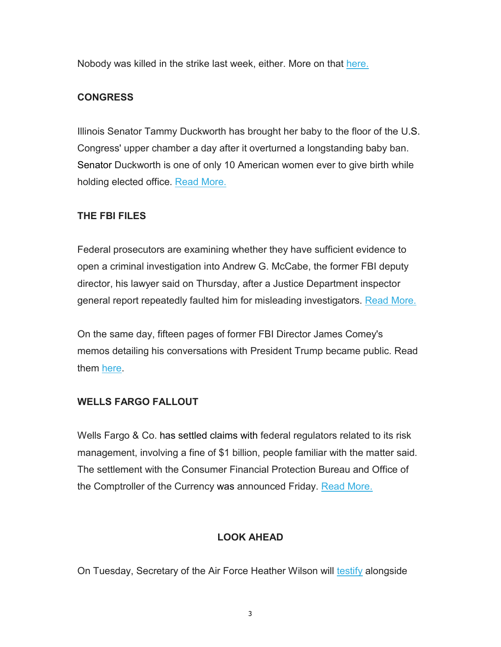Nobody was killed in the strike last week, either. More on that here.

## **CONGRESS**

Illinois Senator Tammy Duckworth has brought her baby to the floor of the U.S. Congress' upper chamber a day after it overturned a longstanding baby ban. Senator Duckworth is one of only 10 American women ever to give birth while holding elected office. Read More.

## **THE FBI FILES**

Federal prosecutors are examining whether they have sufficient evidence to open a criminal investigation into Andrew G. McCabe, the former FBI deputy director, his lawyer said on Thursday, after a Justice Department inspector general report repeatedly faulted him for misleading investigators. Read More.

On the same day, fifteen pages of former FBI Director James Comey's memos detailing his conversations with President Trump became public. Read them here.

## **WELLS FARGO FALLOUT**

Wells Fargo & Co. has settled claims with federal regulators related to its risk management, involving a fine of \$1 billion, people familiar with the matter said. The settlement with the Consumer Financial Protection Bureau and Office of the Comptroller of the Currency was announced Friday. Read More.

# **LOOK AHEAD**

On Tuesday, Secretary of the Air Force Heather Wilson will testify alongside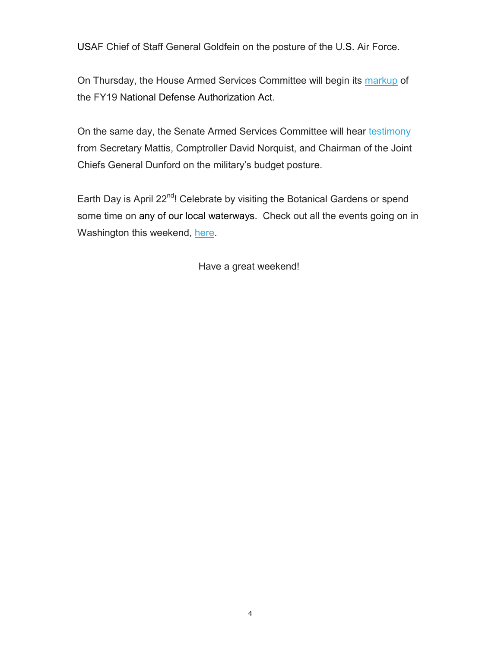USAF Chief of Staff General Goldfein on the posture of the U.S. Air Force.

On Thursday, the House Armed Services Committee will begin its markup of the FY19 National Defense Authorization Act.

On the same day, the Senate Armed Services Committee will hear testimony from Secretary Mattis, Comptroller David Norquist, and Chairman of the Joint Chiefs General Dunford on the military's budget posture.

Earth Day is April 22<sup>nd</sup>! Celebrate by visiting the Botanical Gardens or spend some time on any of our local waterways. Check out all the events going on in Washington this weekend, here.

Have a great weekend!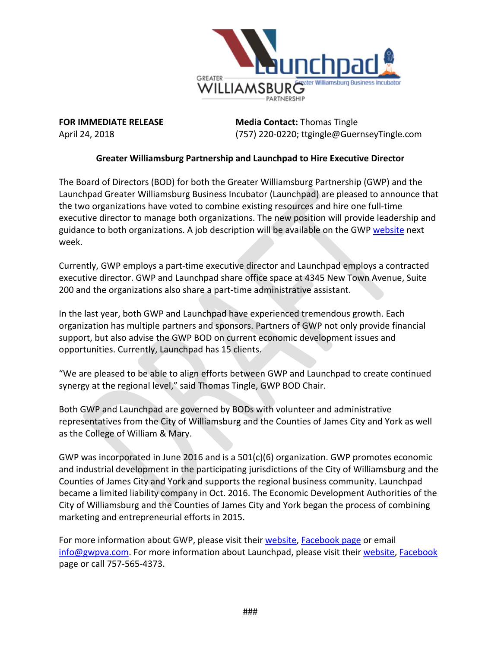

**FOR IMMEDIATE RELEASE Media Contact:** Thomas Tingle April 24, 2018 (757) 220‐0220; ttgingle@GuernseyTingle.com

#### **Greater Williamsburg Partnership and Launchpad to Hire Executive Director**

The Board of Directors (BOD) for both the Greater Williamsburg Partnership (GWP) and the Launchpad Greater Williamsburg Business Incubator (Launchpad) are pleased to announce that the two organizations have voted to combine existing resources and hire one full‐time executive director to manage both organizations. The new position will provide leadership and guidance to both organizations. A job description will be available on the GWP website next week.

Currently, GWP employs a part‐time executive director and Launchpad employs a contracted executive director. GWP and Launchpad share office space at 4345 New Town Avenue, Suite 200 and the organizations also share a part-time administrative assistant.

In the last year, both GWP and Launchpad have experienced tremendous growth. Each organization has multiple partners and sponsors. Partners of GWP not only provide financial support, but also advise the GWP BOD on current economic development issues and opportunities. Currently, Launchpad has 15 clients.

"We are pleased to be able to align efforts between GWP and Launchpad to create continued synergy at the regional level," said Thomas Tingle, GWP BOD Chair.

Both GWP and Launchpad are governed by BODs with volunteer and administrative representatives from the City of Williamsburg and the Counties of James City and York as well as the College of William & Mary.

GWP was incorporated in June 2016 and is a 501(c)(6) organization. GWP promotes economic and industrial development in the participating jurisdictions of the City of Williamsburg and the Counties of James City and York and supports the regional business community. Launchpad became a limited liability company in Oct. 2016. The Economic Development Authorities of the City of Williamsburg and the Counties of James City and York began the process of combining marketing and entrepreneurial efforts in 2015.

For more information about GWP, please visit their website, Facebook page or email info@gwpva.com. For more information about Launchpad, please visit their website, Facebook page or call 757‐565‐4373.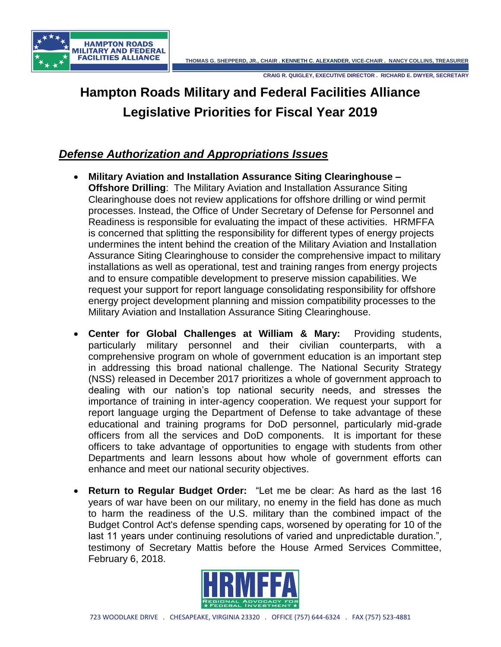

# **Hampton Roads Military and Federal Facilities Alliance Legislative Priorities for Fiscal Year 2019**

# *Defense Authorization and Appropriations Issues*

- **Military Aviation and Installation Assurance Siting Clearinghouse – Offshore Drilling**: The Military Aviation and Installation Assurance Siting Clearinghouse does not review applications for offshore drilling or wind permit processes. Instead, the Office of Under Secretary of Defense for Personnel and Readiness is responsible for evaluating the impact of these activities. HRMFFA is concerned that splitting the responsibility for different types of energy projects undermines the intent behind the creation of the Military Aviation and Installation Assurance Siting Clearinghouse to consider the comprehensive impact to military installations as well as operational, test and training ranges from energy projects and to ensure compatible development to preserve mission capabilities. We request your support for report language consolidating responsibility for offshore energy project development planning and mission compatibility processes to the Military Aviation and Installation Assurance Siting Clearinghouse.
- **Center for Global Challenges at William & Mary:** Providing students, particularly military personnel and their civilian counterparts, with a comprehensive program on whole of government education is an important step in addressing this broad national challenge. The National Security Strategy (NSS) released in December 2017 prioritizes a whole of government approach to dealing with our nation's top national security needs, and stresses the importance of training in inter-agency cooperation. We request your support for report language urging the Department of Defense to take advantage of these educational and training programs for DoD personnel, particularly mid-grade officers from all the services and DoD components. It is important for these officers to take advantage of opportunities to engage with students from other Departments and learn lessons about how whole of government efforts can enhance and meet our national security objectives.
- **Return to Regular Budget Order:** "Let me be clear: As hard as the last 16 years of war have been on our military, no enemy in the field has done as much to harm the readiness of the U.S. military than the combined impact of the Budget Control Act's defense spending caps, worsened by operating for 10 of the last 11 years under continuing resolutions of varied and unpredictable duration.", testimony of Secretary Mattis before the House Armed Services Committee, February 6, 2018.

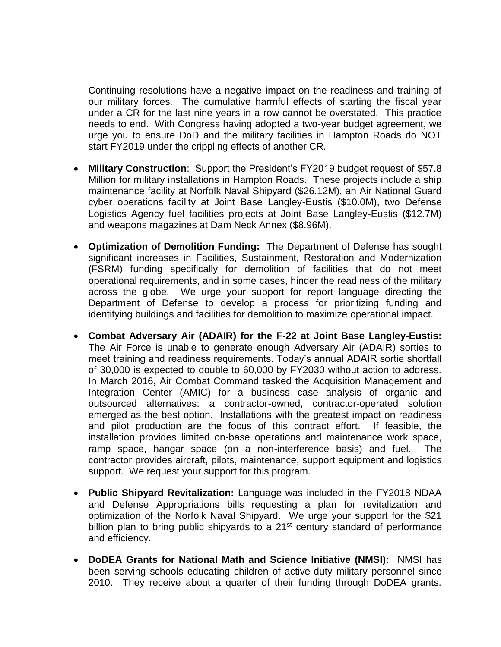Continuing resolutions have a negative impact on the readiness and training of our military forces. The cumulative harmful effects of starting the fiscal year under a CR for the last nine years in a row cannot be overstated. This practice needs to end. With Congress having adopted a two-year budget agreement, we urge you to ensure DoD and the military facilities in Hampton Roads do NOT start FY2019 under the crippling effects of another CR.

- **Military Construction**: Support the President's FY2019 budget request of \$57.8 Million for military installations in Hampton Roads. These projects include a ship maintenance facility at Norfolk Naval Shipyard (\$26.12M), an Air National Guard cyber operations facility at Joint Base Langley-Eustis (\$10.0M), two Defense Logistics Agency fuel facilities projects at Joint Base Langley-Eustis (\$12.7M) and weapons magazines at Dam Neck Annex (\$8.96M).
- **Optimization of Demolition Funding:** The Department of Defense has sought significant increases in Facilities, Sustainment, Restoration and Modernization (FSRM) funding specifically for demolition of facilities that do not meet operational requirements, and in some cases, hinder the readiness of the military across the globe. We urge your support for report language directing the Department of Defense to develop a process for prioritizing funding and identifying buildings and facilities for demolition to maximize operational impact.
- **Combat Adversary Air (ADAIR) for the F-22 at Joint Base Langley-Eustis:**  The Air Force is unable to generate enough Adversary Air (ADAIR) sorties to meet training and readiness requirements. Today's annual ADAIR sortie shortfall of 30,000 is expected to double to 60,000 by FY2030 without action to address. In March 2016, Air Combat Command tasked the Acquisition Management and Integration Center (AMIC) for a business case analysis of organic and outsourced alternatives: a contractor-owned, contractor-operated solution emerged as the best option. Installations with the greatest impact on readiness and pilot production are the focus of this contract effort. If feasible, the installation provides limited on-base operations and maintenance work space, ramp space, hangar space (on a non-interference basis) and fuel. The contractor provides aircraft, pilots, maintenance, support equipment and logistics support. We request your support for this program.
- **Public Shipyard Revitalization:** Language was included in the FY2018 NDAA and Defense Appropriations bills requesting a plan for revitalization and optimization of the Norfolk Naval Shipyard. We urge your support for the \$21 billion plan to bring public shipyards to a 21<sup>st</sup> century standard of performance and efficiency.
- **DoDEA Grants for National Math and Science Initiative (NMSI):** NMSI has been serving schools educating children of active-duty military personnel since 2010. They receive about a quarter of their funding through DoDEA grants.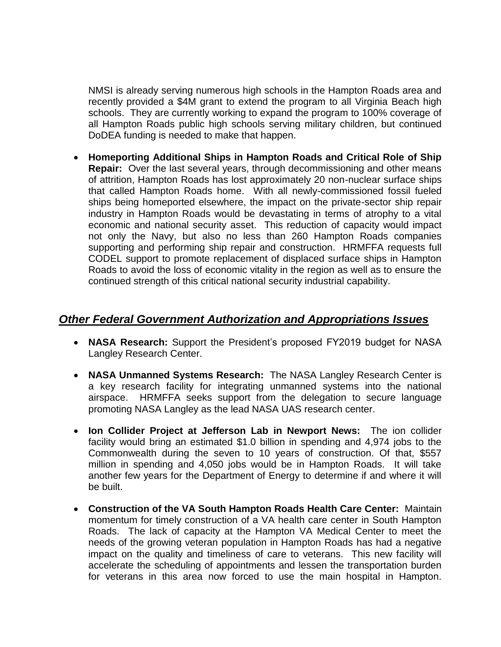NMSI is already serving numerous high schools in the Hampton Roads area and recently provided a \$4M grant to extend the program to all Virginia Beach high schools. They are currently working to expand the program to 100% coverage of all Hampton Roads public high schools serving military children, but continued DoDEA funding is needed to make that happen.

• **Homeporting Additional Ships in Hampton Roads and Critical Role of Ship Repair:** Over the last several years, through decommissioning and other means of attrition, Hampton Roads has lost approximately 20 non-nuclear surface ships that called Hampton Roads home. With all newly-commissioned fossil fueled ships being homeported elsewhere, the impact on the private-sector ship repair industry in Hampton Roads would be devastating in terms of atrophy to a vital economic and national security asset. This reduction of capacity would impact not only the Navy, but also no less than 260 Hampton Roads companies supporting and performing ship repair and construction. HRMFFA requests full CODEL support to promote replacement of displaced surface ships in Hampton Roads to avoid the loss of economic vitality in the region as well as to ensure the continued strength of this critical national security industrial capability.

# *Other Federal Government Authorization and Appropriations Issues*

- **NASA Research:** Support the President's proposed FY2019 budget for NASA Langley Research Center.
- **NASA Unmanned Systems Research:** The NASA Langley Research Center is a key research facility for integrating unmanned systems into the national airspace. HRMFFA seeks support from the delegation to secure language promoting NASA Langley as the lead NASA UAS research center.
- **Ion Collider Project at Jefferson Lab in Newport News:** The ion collider facility would bring an estimated \$1.0 billion in spending and 4,974 jobs to the Commonwealth during the seven to 10 years of construction. Of that, \$557 million in spending and 4,050 jobs would be in Hampton Roads. It will take another few years for the Department of Energy to determine if and where it will be built.
- **Construction of the VA South Hampton Roads Health Care Center:** Maintain momentum for timely construction of a VA health care center in South Hampton Roads. The lack of capacity at the Hampton VA Medical Center to meet the needs of the growing veteran population in Hampton Roads has had a negative impact on the quality and timeliness of care to veterans. This new facility will accelerate the scheduling of appointments and lessen the transportation burden for veterans in this area now forced to use the main hospital in Hampton.